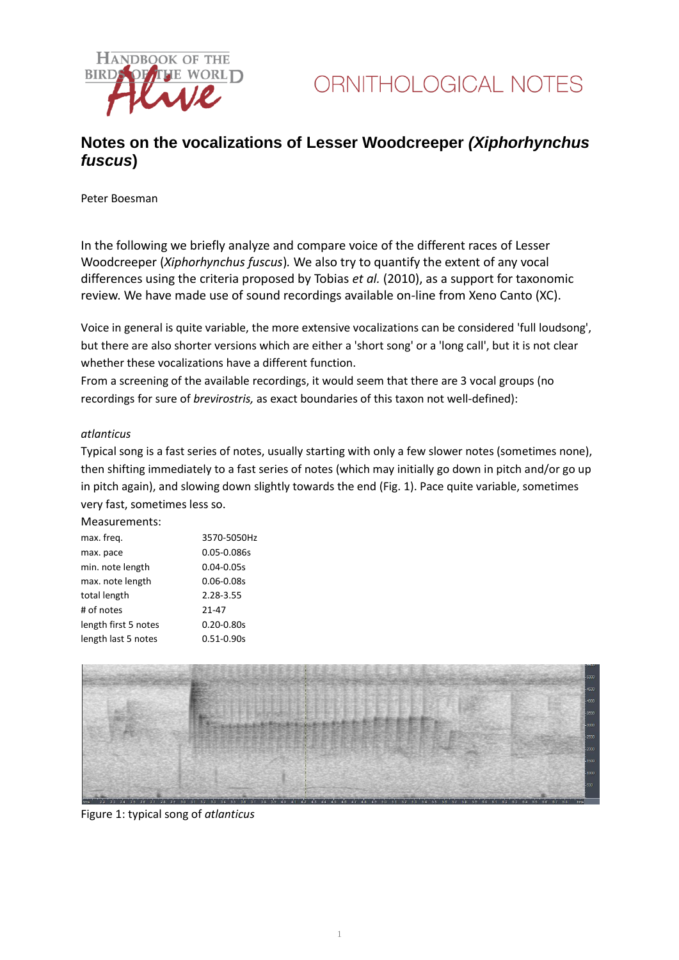

### **Notes on the vocalizations of Lesser Woodcreeper** *(Xiphorhynchus fuscus***)**

Peter Boesman

In the following we briefly analyze and compare voice of the different races of Lesser Woodcreeper (*Xiphorhynchus fuscus*)*.* We also try to quantify the extent of any vocal differences using the criteria proposed by Tobias *et al.* (2010), as a support for taxonomic review. We have made use of sound recordings available on-line from Xeno Canto (XC).

Voice in general is quite variable, the more extensive vocalizations can be considered 'full loudsong', but there are also shorter versions which are either a 'short song' or a 'long call', but it is not clear whether these vocalizations have a different function.

From a screening of the available recordings, it would seem that there are 3 vocal groups (no recordings for sure of *brevirostris,* as exact boundaries of this taxon not well-defined):

#### *atlanticus*

Typical song is a fast series of notes, usually starting with only a few slower notes (sometimes none), then shifting immediately to a fast series of notes (which may initially go down in pitch and/or go up in pitch again), and slowing down slightly towards the end (Fig. 1). Pace quite variable, sometimes very fast, sometimes less so.

#### Measurements:

| max. freg.           | 3570-5050Hz    |
|----------------------|----------------|
|                      |                |
| max. pace            | 0.05-0.086s    |
| min. note length     | $0.04 - 0.05s$ |
| max. note length     | $0.06 - 0.08s$ |
| total length         | 2.28-3.55      |
| # of notes           | 21-47          |
| length first 5 notes | $0.20 - 0.80s$ |
| length last 5 notes  | $0.51 - 0.90s$ |



Figure 1: typical song of *atlanticus*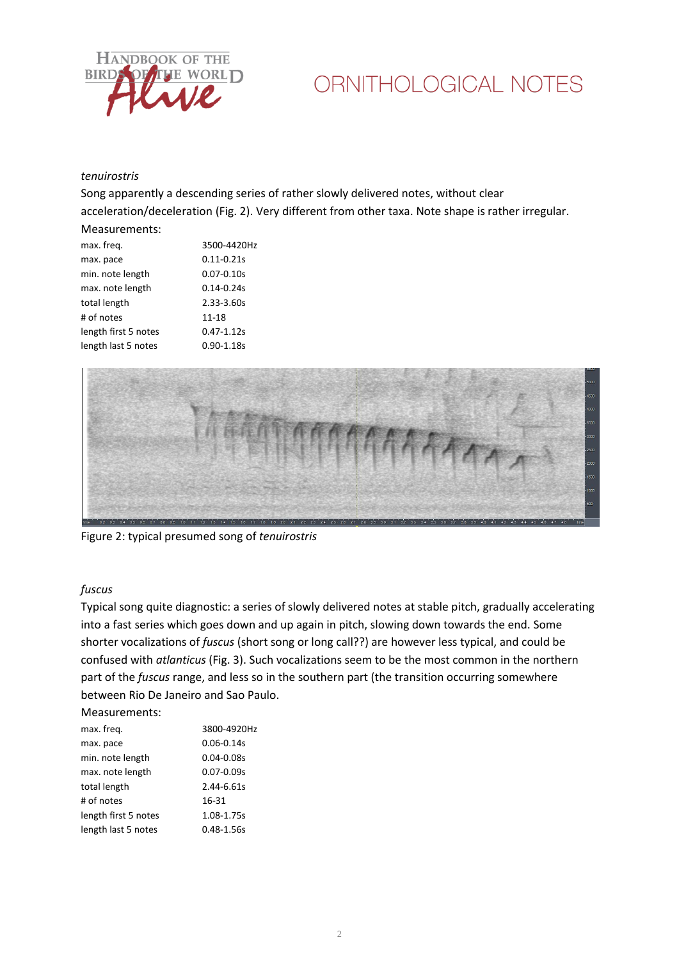

## ORNITHOLOGICAL NOTES

#### *tenuirostris*

Song apparently a descending series of rather slowly delivered notes, without clear acceleration/deceleration (Fig. 2). Very different from other taxa. Note shape is rather irregular.

#### Measurements:

| max. freg.           | 3500-4420Hz    |
|----------------------|----------------|
| max. pace            | $0.11 - 0.21s$ |
| min. note length     | $0.07 - 0.10s$ |
| max. note length     | $0.14 - 0.24s$ |
| total length         | $2.33 - 3.60s$ |
| # of notes           | 11-18          |
| length first 5 notes | $0.47 - 1.12s$ |
| length last 5 notes  | $0.90 - 1.18s$ |



Figure 2: typical presumed song of *tenuirostris*

#### *fuscus*

Typical song quite diagnostic: a series of slowly delivered notes at stable pitch, gradually accelerating into a fast series which goes down and up again in pitch, slowing down towards the end. Some shorter vocalizations of *fuscus* (short song or long call??) are however less typical, and could be confused with *atlanticus* (Fig. 3). Such vocalizations seem to be the most common in the northern part of the *fuscus* range, and less so in the southern part (the transition occurring somewhere between Rio De Janeiro and Sao Paulo.

Measurements:

| max. freq.           | 3800-4920Hz    |
|----------------------|----------------|
| max. pace            | $0.06 - 0.14s$ |
| min. note length     | $0.04 - 0.08s$ |
| max. note length     | 0.07-0.09s     |
| total length         | 2.44-6.61s     |
| # of notes           | 16-31          |
| length first 5 notes | 1.08-1.75s     |
| length last 5 notes  | $0.48 - 1.56s$ |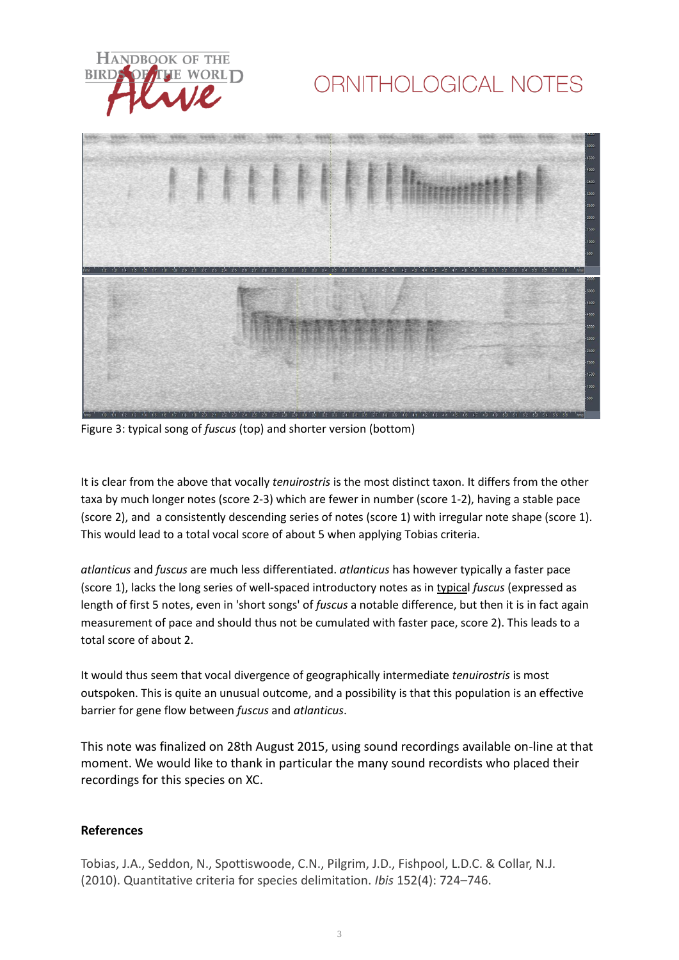

# ORNITHOLOGICAL NOTES



Figure 3: typical song of *fuscus* (top) and shorter version (bottom)

It is clear from the above that vocally *tenuirostris* is the most distinct taxon. It differs from the other taxa by much longer notes (score 2-3) which are fewer in number (score 1-2), having a stable pace (score 2), and a consistently descending series of notes (score 1) with irregular note shape (score 1). This would lead to a total vocal score of about 5 when applying Tobias criteria.

*atlanticus* and *fuscus* are much less differentiated. *atlanticus* has however typically a faster pace (score 1), lacks the long series of well-spaced introductory notes as in typical *fuscus* (expressed as length of first 5 notes, even in 'short songs' of *fuscus* a notable difference, but then it is in fact again measurement of pace and should thus not be cumulated with faster pace, score 2). This leads to a total score of about 2.

It would thus seem that vocal divergence of geographically intermediate *tenuirostris* is most outspoken. This is quite an unusual outcome, and a possibility is that this population is an effective barrier for gene flow between *fuscus* and *atlanticus*.

This note was finalized on 28th August 2015, using sound recordings available on-line at that moment. We would like to thank in particular the many sound recordists who placed their recordings for this species on XC.

#### **References**

Tobias, J.A., Seddon, N., Spottiswoode, C.N., Pilgrim, J.D., Fishpool, L.D.C. & Collar, N.J. (2010). Quantitative criteria for species delimitation. *Ibis* 152(4): 724–746.